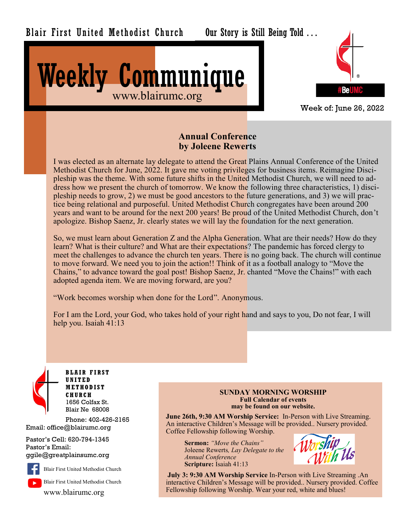

Our Story is Still Being Told . . .





Week of: June 26, 2022

### **Annual Conference by Joleene Rewerts**

I was elected as an alternate lay delegate to attend the Great Plains Annual Conference of the United Methodist Church for June, 2022. It gave me voting privileges for business items. Reimagine Discipleship was the theme. With some future shifts in the United Methodist Church, we will need to address how we present the church of tomorrow. We know the following three characteristics, 1) discipleship needs to grow, 2) we must be good ancestors to the future generations, and 3) we will practice being relational and purposeful. United Methodist Church congregates have been around 200 years and want to be around for the next 200 years! Be proud of the United Methodist Church, don't apologize. Bishop Saenz, Jr. clearly states we will lay the foundation for the next generation.

So, we must learn about Generation Z and the Alpha Generation. What are their needs? How do they learn? What is their culture? and What are their expectations? The pandemic has forced clergy to meet the challenges to advance the church ten years. There is no going back. The church will continue to move forward. We need you to join the action!! Think of it as a football analogy to "Move the Chains," to advance toward the goal post! Bishop Saenz, Jr. chanted "Move the Chains!" with each adopted agenda item. We are moving forward, are you?

"Work becomes worship when done for the Lord". Anonymous.

For I am the Lord, your God, who takes hold of your right hand and says to you, Do not fear, I will help you. Isaiah 41:13



**BLA IR FIRST UNITED M ETHOD IST C HURC H** 1656 Colfax St. Blair Ne 68008

Phone: 402-426-2165 Email: office@blairumc.org

Pastor's Cell: 620-794-1345 Pastor's Email: ggile@greatplainsumc.org



Blair First United Methodist Church

www.blairumc.org

#### **SUNDAY MORNING WORSHIP Full Calendar of events may be found on our website.**

**June 26th, 9:30 AM Worship Service:** In-Person with Live Streaming. An interactive Children's Message will be provided.. Nursery provided. Coffee Fellowship following Worship.

**Sermon:** *"Move the Chains"* Joleene Rewerts*, Lay Delegate to the Annual Conference* **Scripture:** Isaiah 41:13



**July 3: 9:30 AM Worship Service** In-Person with Live Streaming .An interactive Children's Message will be provided.. Nursery provided. Coffee Fellowship following Worship. Wear your red, white and blues!